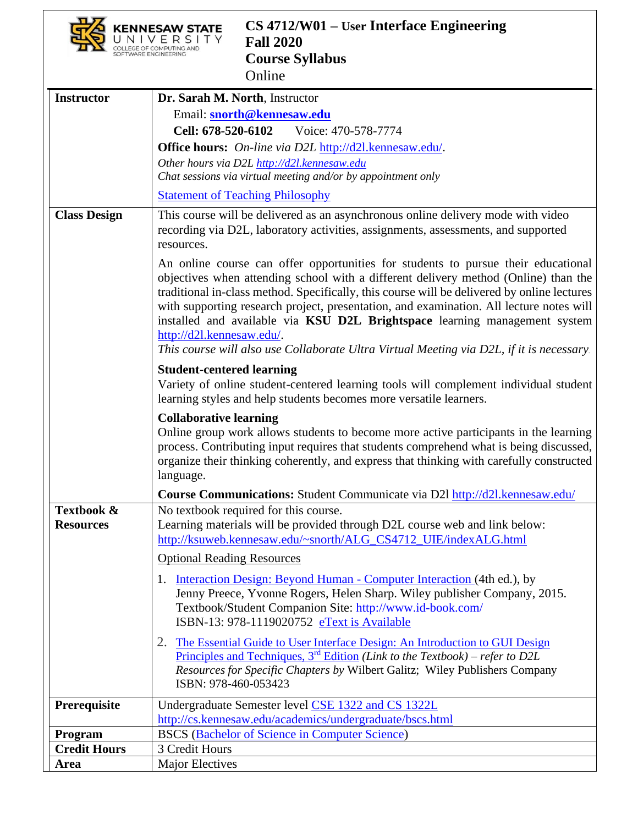|                                                               | CS 4712/W01 – User Interface Engineering<br><b>Fall 2020</b><br><b>Course Syllabus</b><br>Online                                                                                                                                                                                                                                                                                                                                                                                                                                                                                                                                                                                                                                                                                                                                                                                                                                                                                                                                                                                                                                                                                                                                                                                               |  |
|---------------------------------------------------------------|------------------------------------------------------------------------------------------------------------------------------------------------------------------------------------------------------------------------------------------------------------------------------------------------------------------------------------------------------------------------------------------------------------------------------------------------------------------------------------------------------------------------------------------------------------------------------------------------------------------------------------------------------------------------------------------------------------------------------------------------------------------------------------------------------------------------------------------------------------------------------------------------------------------------------------------------------------------------------------------------------------------------------------------------------------------------------------------------------------------------------------------------------------------------------------------------------------------------------------------------------------------------------------------------|--|
| <b>Instructor</b>                                             | Dr. Sarah M. North, Instructor<br>Email: snorth@kennesaw.edu<br>Cell: 678-520-6102<br>Voice: 470-578-7774<br><b>Office hours:</b> On-line via D2L http://d2l.kennesaw.edu/.<br>Other hours via D2L http://d2l.kennesaw.edu<br>Chat sessions via virtual meeting and/or by appointment only<br><b>Statement of Teaching Philosophy</b>                                                                                                                                                                                                                                                                                                                                                                                                                                                                                                                                                                                                                                                                                                                                                                                                                                                                                                                                                          |  |
| <b>Class Design</b>                                           | This course will be delivered as an asynchronous online delivery mode with video<br>recording via D2L, laboratory activities, assignments, assessments, and supported<br>resources.<br>An online course can offer opportunities for students to pursue their educational<br>objectives when attending school with a different delivery method (Online) than the<br>traditional in-class method. Specifically, this course will be delivered by online lectures<br>with supporting research project, presentation, and examination. All lecture notes will<br>installed and available via KSU D2L Brightspace learning management system<br>http://d2l.kennesaw.edu/.<br>This course will also use Collaborate Ultra Virtual Meeting via D2L, if it is necessary.<br><b>Student-centered learning</b><br>Variety of online student-centered learning tools will complement individual student<br>learning styles and help students becomes more versatile learners.<br><b>Collaborative learning</b><br>Online group work allows students to become more active participants in the learning<br>process. Contributing input requires that students comprehend what is being discussed,<br>organize their thinking coherently, and express that thinking with carefully constructed<br>language. |  |
| Textbook &<br><b>Resources</b>                                | Course Communications: Student Communicate via D21 http://d21.kennesaw.edu/<br>No textbook required for this course.<br>Learning materials will be provided through D2L course web and link below:<br>http://ksuweb.kennesaw.edu/~snorth/ALG_CS4712_UIE/indexALG.html<br><b>Optional Reading Resources</b><br>1. Interaction Design: Beyond Human - Computer Interaction (4th ed.), by<br>Jenny Preece, Yvonne Rogers, Helen Sharp. Wiley publisher Company, 2015.<br>Textbook/Student Companion Site: http://www.id-book.com/<br>ISBN-13: 978-1119020752 eText is Available<br>The Essential Guide to User Interface Design: An Introduction to GUI Design<br>2.<br><u>Principles and Techniques, <math>3^{rd}</math> Edition</u> (Link to the Textbook) – refer to D2L<br>Resources for Specific Chapters by Wilbert Galitz; Wiley Publishers Company<br>ISBN: 978-460-053423                                                                                                                                                                                                                                                                                                                                                                                                                |  |
| Prerequisite<br>Program<br><b>Credit Hours</b><br><b>Area</b> | Undergraduate Semester level CSE 1322 and CS 1322L<br>http://cs.kennesaw.edu/academics/undergraduate/bscs.html<br><b>BSCS</b> (Bachelor of Science in Computer Science)<br>3 Credit Hours<br><b>Major Electives</b>                                                                                                                                                                                                                                                                                                                                                                                                                                                                                                                                                                                                                                                                                                                                                                                                                                                                                                                                                                                                                                                                            |  |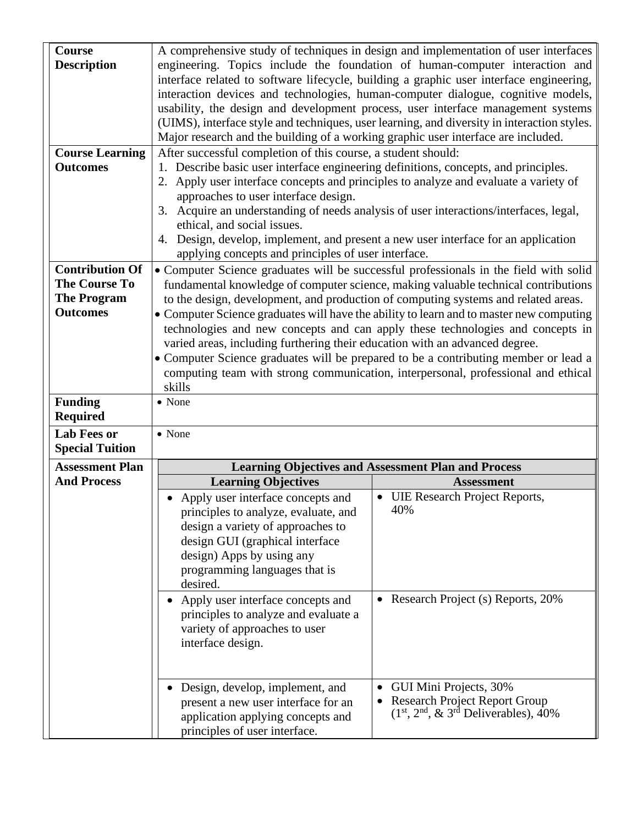| <b>Course</b>          |                                                                                         | A comprehensive study of techniques in design and implementation of user interfaces         |  |
|------------------------|-----------------------------------------------------------------------------------------|---------------------------------------------------------------------------------------------|--|
| <b>Description</b>     | engineering. Topics include the foundation of human-computer interaction and            |                                                                                             |  |
|                        | interface related to software lifecycle, building a graphic user interface engineering, |                                                                                             |  |
|                        | interaction devices and technologies, human-computer dialogue, cognitive models,        |                                                                                             |  |
|                        |                                                                                         | usability, the design and development process, user interface management systems            |  |
|                        |                                                                                         | (UIMS), interface style and techniques, user learning, and diversity in interaction styles. |  |
|                        | Major research and the building of a working graphic user interface are included.       |                                                                                             |  |
| <b>Course Learning</b> | After successful completion of this course, a student should:                           |                                                                                             |  |
| <b>Outcomes</b>        | 1. Describe basic user interface engineering definitions, concepts, and principles.     |                                                                                             |  |
|                        | 2. Apply user interface concepts and principles to analyze and evaluate a variety of    |                                                                                             |  |
|                        | approaches to user interface design.                                                    |                                                                                             |  |
|                        | 3.                                                                                      | Acquire an understanding of needs analysis of user interactions/interfaces, legal,          |  |
|                        | ethical, and social issues.                                                             |                                                                                             |  |
|                        | 4. Design, develop, implement, and present a new user interface for an application      |                                                                                             |  |
|                        | applying concepts and principles of user interface.                                     |                                                                                             |  |
| <b>Contribution Of</b> |                                                                                         | • Computer Science graduates will be successful professionals in the field with solid       |  |
| <b>The Course To</b>   |                                                                                         | fundamental knowledge of computer science, making valuable technical contributions          |  |
| <b>The Program</b>     |                                                                                         | to the design, development, and production of computing systems and related areas.          |  |
| <b>Outcomes</b>        |                                                                                         | • Computer Science graduates will have the ability to learn and to master new computing     |  |
|                        |                                                                                         | technologies and new concepts and can apply these technologies and concepts in              |  |
|                        | varied areas, including furthering their education with an advanced degree.             |                                                                                             |  |
|                        |                                                                                         | • Computer Science graduates will be prepared to be a contributing member or lead a         |  |
|                        |                                                                                         | computing team with strong communication, interpersonal, professional and ethical           |  |
|                        | skills                                                                                  |                                                                                             |  |
| <b>Funding</b>         | • None                                                                                  |                                                                                             |  |
| <b>Required</b>        |                                                                                         |                                                                                             |  |
| <b>Lab Fees or</b>     | • None                                                                                  |                                                                                             |  |
| <b>Special Tuition</b> |                                                                                         |                                                                                             |  |
| <b>Assessment Plan</b> |                                                                                         | <b>Learning Objectives and Assessment Plan and Process</b>                                  |  |
| <b>And Process</b>     | <b>Learning Objectives</b>                                                              | <b>Assessment</b>                                                                           |  |
|                        | Apply user interface concepts and                                                       | • UIE Research Project Reports,                                                             |  |
|                        | principles to analyze, evaluate, and                                                    | 40%                                                                                         |  |
|                        | design a variety of approaches to                                                       |                                                                                             |  |
|                        | design GUI (graphical interface                                                         |                                                                                             |  |
|                        | design) Apps by using any                                                               |                                                                                             |  |
|                        | programming languages that is                                                           |                                                                                             |  |
|                        |                                                                                         |                                                                                             |  |
|                        | desired.                                                                                |                                                                                             |  |
|                        | Apply user interface concepts and                                                       | • Research Project (s) Reports, 20%                                                         |  |
|                        | principles to analyze and evaluate a                                                    |                                                                                             |  |
|                        | variety of approaches to user                                                           |                                                                                             |  |
|                        | interface design.                                                                       |                                                                                             |  |
|                        |                                                                                         |                                                                                             |  |
|                        |                                                                                         |                                                                                             |  |
|                        | Design, develop, implement, and                                                         | GUI Mini Projects, 30%                                                                      |  |
|                        | present a new user interface for an                                                     | <b>Research Project Report Group</b>                                                        |  |
|                        | application applying concepts and<br>principles of user interface.                      | $(1st, 2nd, & 3rd$ Deliverables), 40%                                                       |  |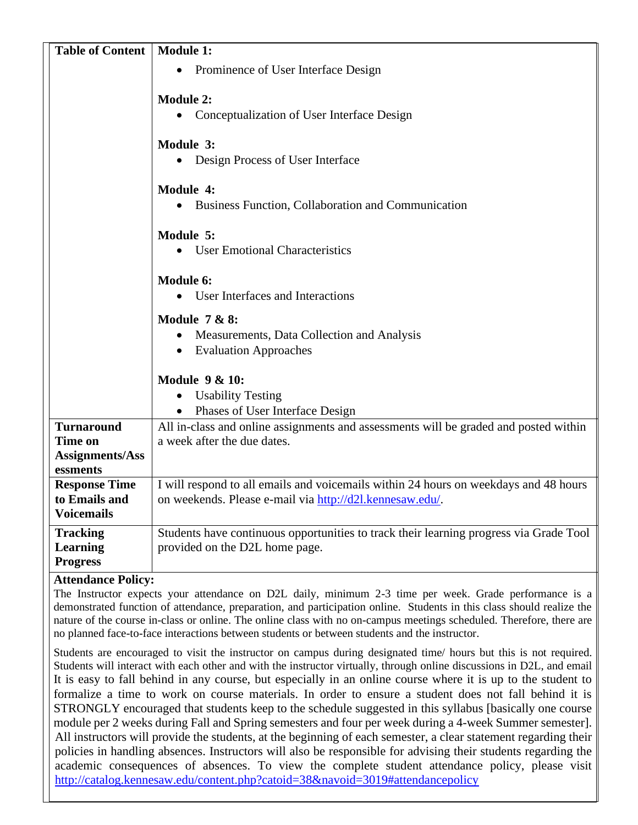| <b>Table of Content</b>                  | <b>Module 1:</b>                                                                       |  |
|------------------------------------------|----------------------------------------------------------------------------------------|--|
|                                          | Prominence of User Interface Design<br>$\bullet$                                       |  |
|                                          |                                                                                        |  |
|                                          | <b>Module 2:</b>                                                                       |  |
|                                          | Conceptualization of User Interface Design                                             |  |
|                                          | Module 3:                                                                              |  |
|                                          | • Design Process of User Interface                                                     |  |
|                                          | Module 4:                                                                              |  |
|                                          | Business Function, Collaboration and Communication                                     |  |
|                                          | Module 5:                                                                              |  |
|                                          | • User Emotional Characteristics                                                       |  |
|                                          | <b>Module 6:</b>                                                                       |  |
|                                          | • User Interfaces and Interactions                                                     |  |
|                                          | <b>Module 7 &amp; 8:</b>                                                               |  |
|                                          | Measurements, Data Collection and Analysis                                             |  |
|                                          | • Evaluation Approaches                                                                |  |
|                                          | <b>Module 9 &amp; 10:</b>                                                              |  |
|                                          | • Usability Testing                                                                    |  |
|                                          | • Phases of User Interface Design                                                      |  |
| <b>Turnaround</b>                        | All in-class and online assignments and assessments will be graded and posted within   |  |
| <b>Time on</b>                           | a week after the due dates.                                                            |  |
| <b>Assignments/Ass</b>                   |                                                                                        |  |
| essments                                 |                                                                                        |  |
| <b>Response Time</b>                     | I will respond to all emails and voicemails within 24 hours on weekdays and 48 hours   |  |
| to Emails and                            | on weekends. Please e-mail via http://d2l.kennesaw.edu/.                               |  |
| <b>Voicemails</b>                        |                                                                                        |  |
| <b>Tracking</b>                          | Students have continuous opportunities to track their learning progress via Grade Tool |  |
| <b>Learning</b>                          | provided on the D2L home page.                                                         |  |
| <b>Progress</b>                          |                                                                                        |  |
| $\lambda$ than day as $\mathbf{D}$ alian |                                                                                        |  |

#### **Attendance Policy:**

The Instructor expects your attendance on D2L daily, minimum 2-3 time per week. Grade performance is a demonstrated function of attendance, preparation, and participation online. Students in this class should realize the nature of the course in-class or online. The online class with no on-campus meetings scheduled. Therefore, there are no planned face-to-face interactions between students or between students and the instructor.

Students are encouraged to visit the instructor on campus during designated time/ hours but this is not required. Students will interact with each other and with the instructor virtually, through online discussions in D2L, and email It is easy to fall behind in any course, but especially in an online course where it is up to the student to formalize a time to work on course materials. In order to ensure a student does not fall behind it is STRONGLY encouraged that students keep to the schedule suggested in this syllabus [basically one course module per 2 weeks during Fall and Spring semesters and four per week during a 4-week Summer semester]. All instructors will provide the students, at the beginning of each semester, a clear statement regarding their policies in handling absences. Instructors will also be responsible for advising their students regarding the academic consequences of absences. To view the complete student attendance policy, please visit <http://catalog.kennesaw.edu/content.php?catoid=38&navoid=3019#attendancepolicy>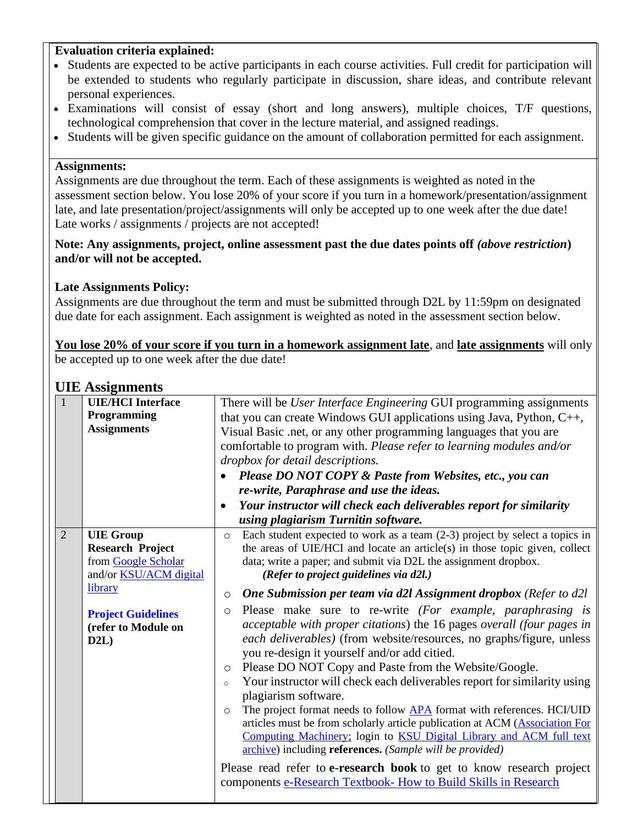#### **Evaluation criteria explained:**

- Students are expected to be active participants in each course activities. Full credit for participation will be extended to students who regularly participate in discussion, share ideas, and contribute relevant personal experiences.
- Examinations will consist of essay (short and long answers), multiple choices, T/F questions, technological comprehension that cover in the lecture material, and assigned readings.
- Students will be given specific guidance on the amount of collaboration permitted for each assignment.

#### **Assignments:**

Assignments are due throughout the term. Each of these assignments is weighted as noted in the assessment section below. You lose 20% of your score if you turn in a homework/presentation/assignment late, and late presentation/project/assignments will only be accepted up to one week after the due date! Late works / assignments / projects are not accepted!

#### Note: Any assignments, project, online assessment past the due dates points off *(above restriction)* **and/or will not be accepted.**

# **Late Assignments Policy:**

Assignments are due throughout the term and must be submitted through D2L by 11:59pm on designated due date for each assignment. Each assignment is weighted as noted in the assessment section below.

**You lose 20% of your score if you turn in a homework assignment late**, and **late assignments** will only be accepted up to one week after the due date!

# **UIE Assignments**

|              |                | $\sim$ 11.001 and $\sim$                                |                                                                                                                                                                                                                                                                        |  |
|--------------|----------------|---------------------------------------------------------|------------------------------------------------------------------------------------------------------------------------------------------------------------------------------------------------------------------------------------------------------------------------|--|
| $\mathbf{1}$ |                | <b>UIE/HCI</b> Interface                                | There will be <i>User Interface Engineering</i> GUI programming assignments                                                                                                                                                                                            |  |
|              |                | Programming                                             | that you can create Windows GUI applications using Java, Python, $C_{++}$ ,                                                                                                                                                                                            |  |
|              |                | <b>Assignments</b>                                      | Visual Basic .net, or any other programming languages that you are                                                                                                                                                                                                     |  |
|              |                |                                                         | comfortable to program with. Please refer to learning modules and/or                                                                                                                                                                                                   |  |
|              |                |                                                         | dropbox for detail descriptions.                                                                                                                                                                                                                                       |  |
|              |                |                                                         | Please DO NOT COPY & Paste from Websites, etc., you can<br>$\bullet$                                                                                                                                                                                                   |  |
|              |                |                                                         | re-write, Paraphrase and use the ideas.                                                                                                                                                                                                                                |  |
|              |                |                                                         | Your instructor will check each deliverables report for similarity<br>$\bullet$                                                                                                                                                                                        |  |
|              |                |                                                         | using plagiarism Turnitin software.                                                                                                                                                                                                                                    |  |
|              | $\overline{2}$ | <b>UIE</b> Group                                        | Each student expected to work as a team $(2-3)$ project by select a topics in<br>$\circ$                                                                                                                                                                               |  |
|              |                | <b>Research Project</b>                                 | the areas of UIE/HCI and locate an article(s) in those topic given, collect                                                                                                                                                                                            |  |
|              |                | from Google Scholar                                     | data; write a paper; and submit via D2L the assignment dropbox.                                                                                                                                                                                                        |  |
|              |                | and/or <b>KSU/ACM</b> digital                           | (Refer to project guidelines via d2l.)                                                                                                                                                                                                                                 |  |
|              |                | library                                                 | <b>One Submission per team via d2l Assignment dropbox</b> (Refer to d2l<br>$\circ$                                                                                                                                                                                     |  |
|              |                | <b>Project Guidelines</b><br>(refer to Module on<br>D2L | Please make sure to re-write (For example, paraphrasing is<br>$\circ$<br>acceptable with proper citations) the 16 pages overall (four pages in<br>each deliverables) (from website/resources, no graphs/figure, unless<br>you re-design it yourself and/or add citied. |  |
|              |                |                                                         | Please DO NOT Copy and Paste from the Website/Google.<br>$\circ$                                                                                                                                                                                                       |  |
|              |                |                                                         | Your instructor will check each deliverables report for similarity using<br>$\circ$                                                                                                                                                                                    |  |
|              |                |                                                         | plagiarism software.                                                                                                                                                                                                                                                   |  |
|              |                |                                                         | The project format needs to follow <b>APA</b> format with references. HCI/UID<br>$\circ$                                                                                                                                                                               |  |
|              |                |                                                         | articles must be from scholarly article publication at ACM (Association For                                                                                                                                                                                            |  |
|              |                |                                                         | Computing Machinery; login to KSU Digital Library and ACM full text<br>archive) including references. (Sample will be provided)                                                                                                                                        |  |
|              |                |                                                         | Please read refer to <b>e-research book</b> to get to know research project                                                                                                                                                                                            |  |
|              |                |                                                         | components e-Research Textbook- How to Build Skills in Research                                                                                                                                                                                                        |  |
|              |                |                                                         |                                                                                                                                                                                                                                                                        |  |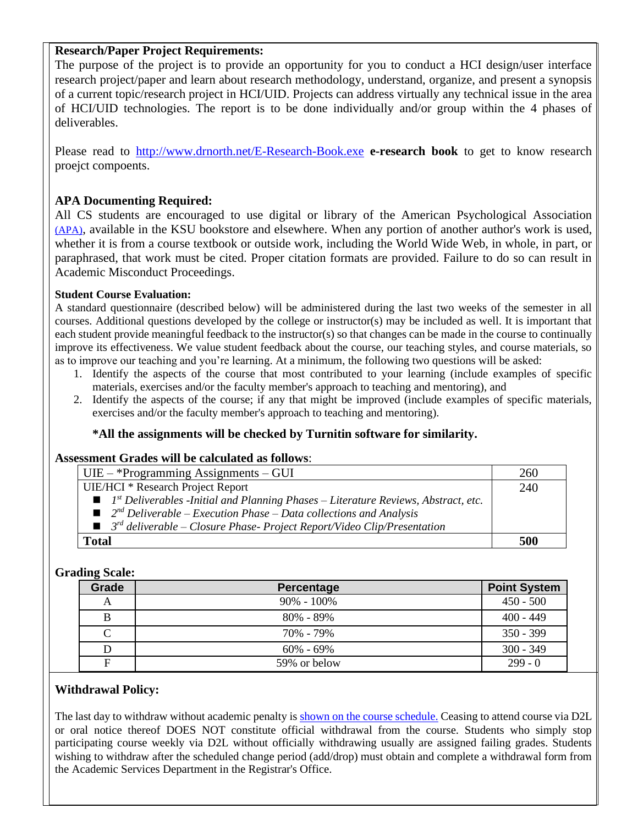#### **Research/Paper Project Requirements:**

The purpose of the project is to provide an opportunity for you to conduct a HCI design/user interface research project/paper and learn about research methodology, understand, organize, and present a synopsis of a current topic/research project in HCI/UID. Projects can address virtually any technical issue in the area of HCI/UID technologies. The report is to be done individually and/or group within the 4 phases of deliverables.

Please read to <http://www.drnorth.net/E-Research-Book.exe> **e-research book** to get to know research proejct compoents.

# **APA Documenting Required:**

All CS students are encouraged to use digital or library of the American Psychological Association [\(APA\)](http://dacc.nmsu.edu/library/research/hacker-sample%20apa%20formatted%20paper.pdf), available in the KSU bookstore and elsewhere. When any portion of another author's work is used, whether it is from a course textbook or outside work, including the World Wide Web, in whole, in part, or paraphrased, that work must be cited. Proper citation formats are provided. Failure to do so can result in Academic Misconduct Proceedings.

#### **Student Course Evaluation:**

A standard questionnaire (described below) will be administered during the last two weeks of the semester in all courses. Additional questions developed by the college or instructor(s) may be included as well. It is important that each student provide meaningful feedback to the instructor(s) so that changes can be made in the course to continually improve its effectiveness. We value student feedback about the course, our teaching styles, and course materials, so as to improve our teaching and you're learning. At a minimum, the following two questions will be asked:

- 1. Identify the aspects of the course that most contributed to your learning (include examples of specific materials, exercises and/or the faculty member's approach to teaching and mentoring), and
- 2. Identify the aspects of the course; if any that might be improved (include examples of specific materials, exercises and/or the faculty member's approach to teaching and mentoring).

# **\*All the assignments will be checked by Turnitin software for similarity.**

#### **Assessment Grades will be calculated as follows**:

| $UIE - *Programming \, Assignments - GUI$                                                                     | 260 |
|---------------------------------------------------------------------------------------------------------------|-----|
| <b>UIE/HCI</b> * Research Project Report                                                                      | 240 |
| $\blacksquare$ 1 <sup>st</sup> Deliverables -Initial and Planning Phases – Literature Reviews, Abstract, etc. |     |
| $\Box$ $2^{nd}$ Deliverable – Execution Phase – Data collections and Analysis                                 |     |
| $\blacksquare$ 3 <sup>rd</sup> deliverable – Closure Phase-Project Report/Video Clip/Presentation             |     |
| Total                                                                                                         |     |

#### **Grading Scale:**

| Grade | Percentage     | <b>Point System</b> |
|-------|----------------|---------------------|
|       | $90\% - 100\%$ | $450 - 500$         |
|       | $80\% - 89\%$  | $400 - 449$         |
|       | 70% - 79%      | $350 - 399$         |
|       | $60\% - 69\%$  | $300 - 349$         |
| F     | 59% or below   | $299 - 0$           |

#### **Withdrawal Policy:**

The last day to withdraw without academic penalty is [shown on the course schedule.](https://web.kennesaw.edu/registrar/share/academic_calendars) Ceasing to attend course via D2L or oral notice thereof DOES NOT constitute official withdrawal from the course. Students who simply stop participating course weekly via D2L without officially withdrawing usually are assigned failing grades. Students wishing to withdraw after the scheduled change period (add/drop) must obtain and complete a withdrawal form from the Academic Services Department in the Registrar's Office.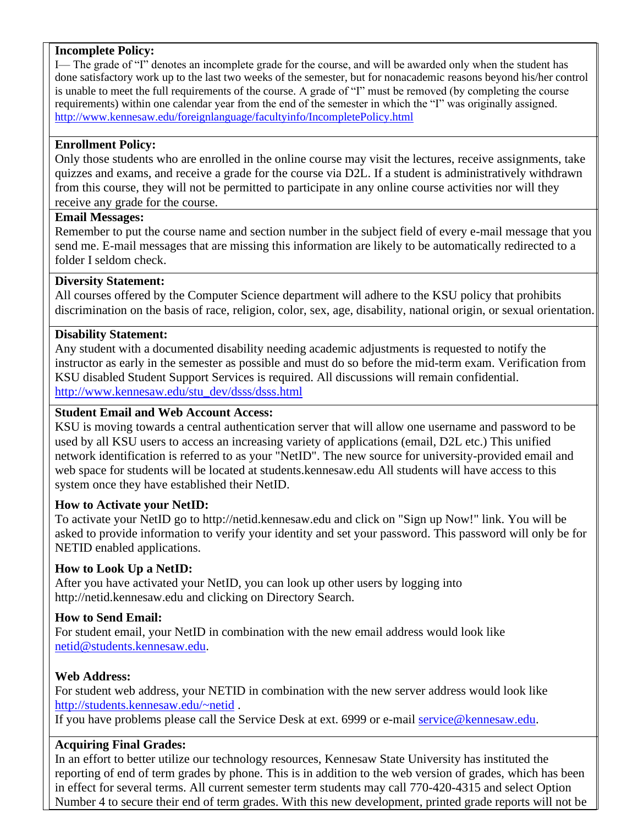#### **Incomplete Policy:**

I— The grade of "I" denotes an incomplete grade for the course, and will be awarded only when the student has done satisfactory work up to the last two weeks of the semester, but for nonacademic reasons beyond his/her control is unable to meet the full requirements of the course. A grade of "I" must be removed (by completing the course requirements) within one calendar year from the end of the semester in which the "I" was originally assigned. <http://www.kennesaw.edu/foreignlanguage/facultyinfo/IncompletePolicy.html>

# **Enrollment Policy:**

Only those students who are enrolled in the online course may visit the lectures, receive assignments, take quizzes and exams, and receive a grade for the course via D2L. If a student is administratively withdrawn from this course, they will not be permitted to participate in any online course activities nor will they receive any grade for the course.

# **Email Messages:**

Remember to put the course name and section number in the subject field of every e-mail message that you send me. E-mail messages that are missing this information are likely to be automatically redirected to a folder I seldom check.

# **Diversity Statement:**

All courses offered by the Computer Science department will adhere to the KSU policy that prohibits discrimination on the basis of race, religion, color, sex, age, disability, national origin, or sexual orientation.

# **Disability Statement:**

Any student with a documented disability needing academic adjustments is requested to notify the instructor as early in the semester as possible and must do so before the mid-term exam. Verification from KSU disabled Student Support Services is required. All discussions will remain confidential. [http://www.kennesaw.edu/stu\\_dev/dsss/dsss.html](http://www.kennesaw.edu/stu_dev/dsss/dsss.html)

# **Student Email and Web Account Access:**

KSU is moving towards a central authentication server that will allow one username and password to be used by all KSU users to access an increasing variety of applications (email, D2L etc.) This unified network identification is referred to as your "NetID". The new source for university-provided email and web space for students will be located at students.kennesaw.edu All students will have access to this system once they have established their NetID.

# **How to Activate your NetID:**

To activate your NetID go to http://netid.kennesaw.edu and click on "Sign up Now!" link. You will be asked to provide information to verify your identity and set your password. This password will only be for NETID enabled applications.

# **How to Look Up a NetID:**

After you have activated your NetID, you can look up other users by logging into http://netid.kennesaw.edu and clicking on Directory Search.

# **How to Send Email:**

For student email, your NetID in combination with the new email address would look like [netid@students.kennesaw.edu.](mailto:netid@students.kennesaw.edu)

# **Web Address:**

For student web address, your NETID in combination with the new server address would look like <http://students.kennesaw.edu/~netid> .

If you have problems please call the Service Desk at ext. 6999 or e-mail [service@kennesaw.edu.](mailto:service@kennesaw.edu)

# **Acquiring Final Grades:**

In an effort to better utilize our technology resources, Kennesaw State University has instituted the reporting of end of term grades by phone. This is in addition to the web version of grades, which has been in effect for several terms. All current semester term students may call 770-420-4315 and select Option Number 4 to secure their end of term grades. With this new development, printed grade reports will not be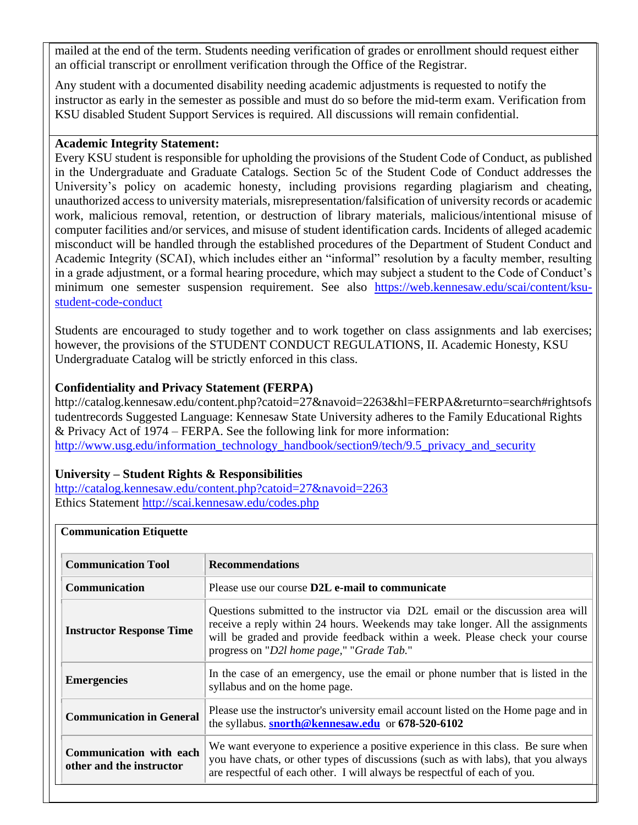mailed at the end of the term. Students needing verification of grades or enrollment should request either an official transcript or enrollment verification through the Office of the Registrar.

Any student with a documented disability needing academic adjustments is requested to notify the instructor as early in the semester as possible and must do so before the mid-term exam. Verification from KSU disabled Student Support Services is required. All discussions will remain confidential.

#### **Academic Integrity Statement:**

Every KSU student is responsible for upholding the provisions of the Student Code of Conduct, as published in the Undergraduate and Graduate Catalogs. Section 5c of the Student Code of Conduct addresses the University's policy on academic honesty, including provisions regarding plagiarism and cheating, unauthorized access to university materials, misrepresentation/falsification of university records or academic work, malicious removal, retention, or destruction of library materials, malicious/intentional misuse of computer facilities and/or services, and misuse of student identification cards. Incidents of alleged academic misconduct will be handled through the established procedures of the Department of Student Conduct and Academic Integrity (SCAI), which includes either an "informal" resolution by a faculty member, resulting in a grade adjustment, or a formal hearing procedure, which may subject a student to the Code of Conduct's minimum one semester suspension requirement. See also [https://web.kennesaw.edu/scai/content/ksu](https://web.kennesaw.edu/scai/content/ksu-student-code-conduct)[student-code-conduct](https://web.kennesaw.edu/scai/content/ksu-student-code-conduct)

Students are encouraged to study together and to work together on class assignments and lab exercises; however, the provisions of the STUDENT CONDUCT REGULATIONS, II. Academic Honesty, KSU Undergraduate Catalog will be strictly enforced in this class.

#### **Confidentiality and Privacy Statement (FERPA)**

http://catalog.kennesaw.edu/content.php?catoid=27&navoid=2263&hl=FERPA&returnto=search#rightsofs tudentrecords Suggested Language: Kennesaw State University adheres to the Family Educational Rights & Privacy Act of 1974 – FERPA. See the following link for more information: [http://www.usg.edu/information\\_technology\\_handbook/section9/tech/9.5\\_privacy\\_and\\_security](http://www.usg.edu/information_technology_handbook/section9/tech/9.5_privacy_and_security)

#### **University – Student Rights & Responsibilities**

<http://catalog.kennesaw.edu/content.php?catoid=27&navoid=2263> Ethics Statement<http://scai.kennesaw.edu/codes.php>

| <b>Communication Tool</b>                           | <b>Recommendations</b>                                                                                                                                                                                                                                                                        |
|-----------------------------------------------------|-----------------------------------------------------------------------------------------------------------------------------------------------------------------------------------------------------------------------------------------------------------------------------------------------|
| <b>Communication</b>                                | Please use our course <b>D2L</b> e-mail to communicate                                                                                                                                                                                                                                        |
| <b>Instructor Response Time</b>                     | Questions submitted to the instructor via D2L email or the discussion area will<br>receive a reply within 24 hours. Weekends may take longer. All the assignments<br>will be graded and provide feedback within a week. Please check your course<br>progress on "D2l home page," "Grade Tab." |
| <b>Emergencies</b>                                  | In the case of an emergency, use the email or phone number that is listed in the<br>syllabus and on the home page.                                                                                                                                                                            |
| <b>Communication in General</b>                     | Please use the instructor's university email account listed on the Home page and in<br>the syllabus. snorth@kennesaw.edu or 678-520-6102                                                                                                                                                      |
| Communication with each<br>other and the instructor | We want everyone to experience a positive experience in this class. Be sure when<br>you have chats, or other types of discussions (such as with labs), that you always<br>are respectful of each other. I will always be respectful of each of you.                                           |

#### **Communication Etiquette**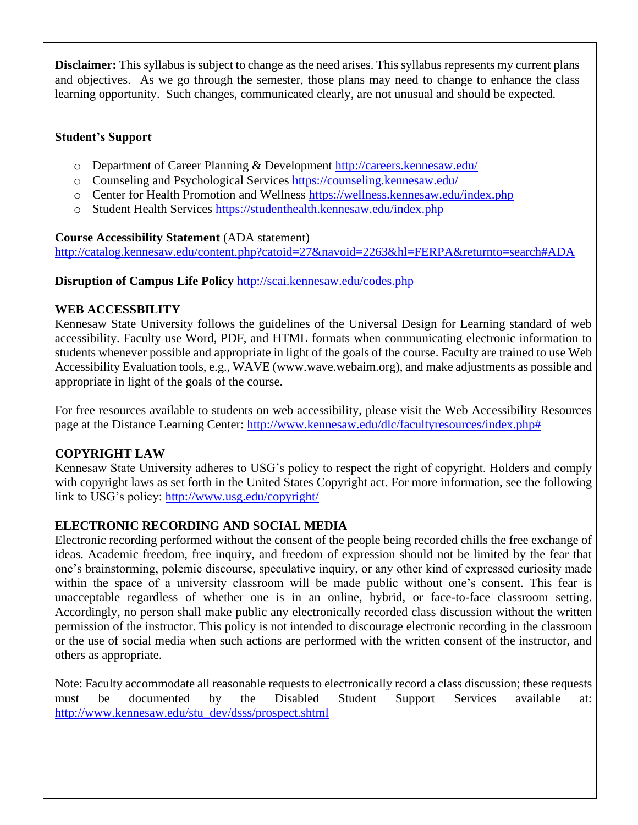**Disclaimer:** This syllabus is subject to change as the need arises. This syllabus represents my current plans and objectives. As we go through the semester, those plans may need to change to enhance the class learning opportunity. Such changes, communicated clearly, are not unusual and should be expected.

# **Student's Support**

- o Department of Career Planning & Development<http://careers.kennesaw.edu/>
- o Counseling and Psychological Services<https://counseling.kennesaw.edu/>
- o Center for Health Promotion and Wellness<https://wellness.kennesaw.edu/index.php>
- o Student Health Services<https://studenthealth.kennesaw.edu/index.php>

# **Course Accessibility Statement** (ADA statement)

<http://catalog.kennesaw.edu/content.php?catoid=27&navoid=2263&hl=FERPA&returnto=search#ADA>

# **Disruption of Campus Life Policy** <http://scai.kennesaw.edu/codes.php>

# **WEB ACCESSBILITY**

Kennesaw State University follows the guidelines of the Universal Design for Learning standard of web accessibility. Faculty use Word, PDF, and HTML formats when communicating electronic information to students whenever possible and appropriate in light of the goals of the course. Faculty are trained to use Web Accessibility Evaluation tools, e.g., WAVE (www.wave.webaim.org), and make adjustments as possible and appropriate in light of the goals of the course.

For free resources available to students on web accessibility, please visit the Web Accessibility Resources page at the Distance Learning Center: [http://www.kennesaw.edu/dlc/facultyresources/index.php#](http://www.kennesaw.edu/dlc/facultyresources/index.php)

# **COPYRIGHT LAW**

Kennesaw State University adheres to USG's policy to respect the right of copyright. Holders and comply with copyright laws as set forth in the United States Copyright act. For more information, see the following link to USG's policy:<http://www.usg.edu/copyright/>

# **ELECTRONIC RECORDING AND SOCIAL MEDIA**

Electronic recording performed without the consent of the people being recorded chills the free exchange of ideas. Academic freedom, free inquiry, and freedom of expression should not be limited by the fear that one's brainstorming, polemic discourse, speculative inquiry, or any other kind of expressed curiosity made within the space of a university classroom will be made public without one's consent. This fear is unacceptable regardless of whether one is in an online, hybrid, or face-to-face classroom setting. Accordingly, no person shall make public any electronically recorded class discussion without the written permission of the instructor. This policy is not intended to discourage electronic recording in the classroom or the use of social media when such actions are performed with the written consent of the instructor, and others as appropriate.

Note: Faculty accommodate all reasonable requests to electronically record a class discussion; these requests must be documented by the Disabled Student Support Services available at: [http://www.kennesaw.edu/stu\\_dev/dsss/prospect.shtml](http://www.kennesaw.edu/stu_dev/dsss/prospect.shtml)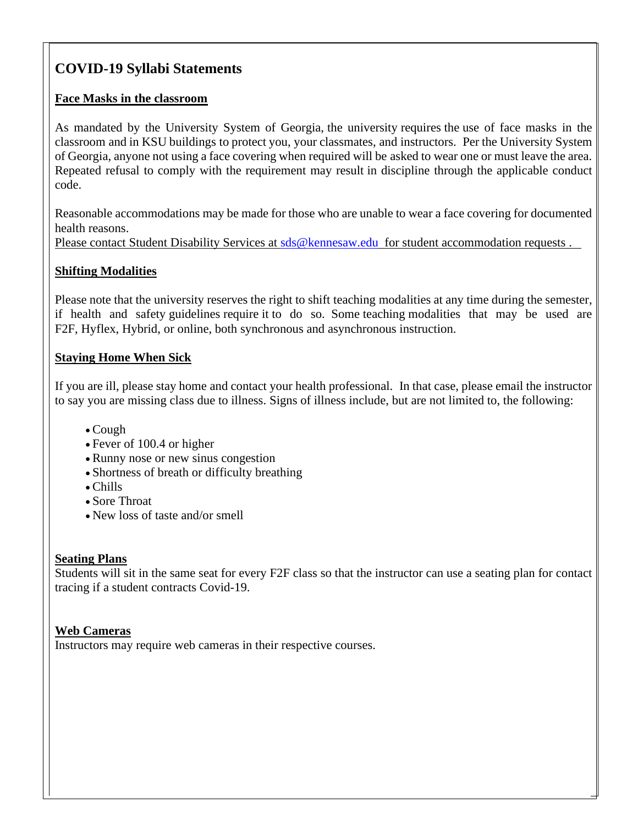# **COVID-19 Syllabi Statements**

# **Face Masks in the classroom**

As mandated by the University System of Georgia, the university requires the use of face masks in the classroom and in KSU buildings to protect you, your classmates, and instructors. Per the University System of Georgia, anyone not using a face covering when required will be asked to wear one or must leave the area. Repeated refusal to comply with the requirement may result in discipline through the applicable conduct code.

Reasonable accommodations may be made for those who are unable to wear a face covering for documented health reasons.

Please contact Student Disability Services at sds @kennesaw.edu for student accommodation requests.

# **Shifting Modalities**

Please note that the university reserves the right to shift teaching modalities at any time during the semester, if health and safety guidelines require it to do so. Some teaching modalities that may be used are F2F, Hyflex, Hybrid, or online, both synchronous and asynchronous instruction.

# **Staying Home When Sick**

If you are ill, please stay home and contact your health professional. In that case, please email the instructor to say you are missing class due to illness. Signs of illness include, but are not limited to, the following:

- Cough
- Fever of 100.4 or higher
- Runny nose or new sinus congestion
- Shortness of breath or difficulty breathing
- Chills
- Sore Throat
- New loss of taste and/or smell

# **Seating Plans**

Students will sit in the same seat for every F2F class so that the instructor can use a seating plan for contact tracing if a student contracts Covid-19.

# **Web Cameras**

Instructors may require web cameras in their respective courses.